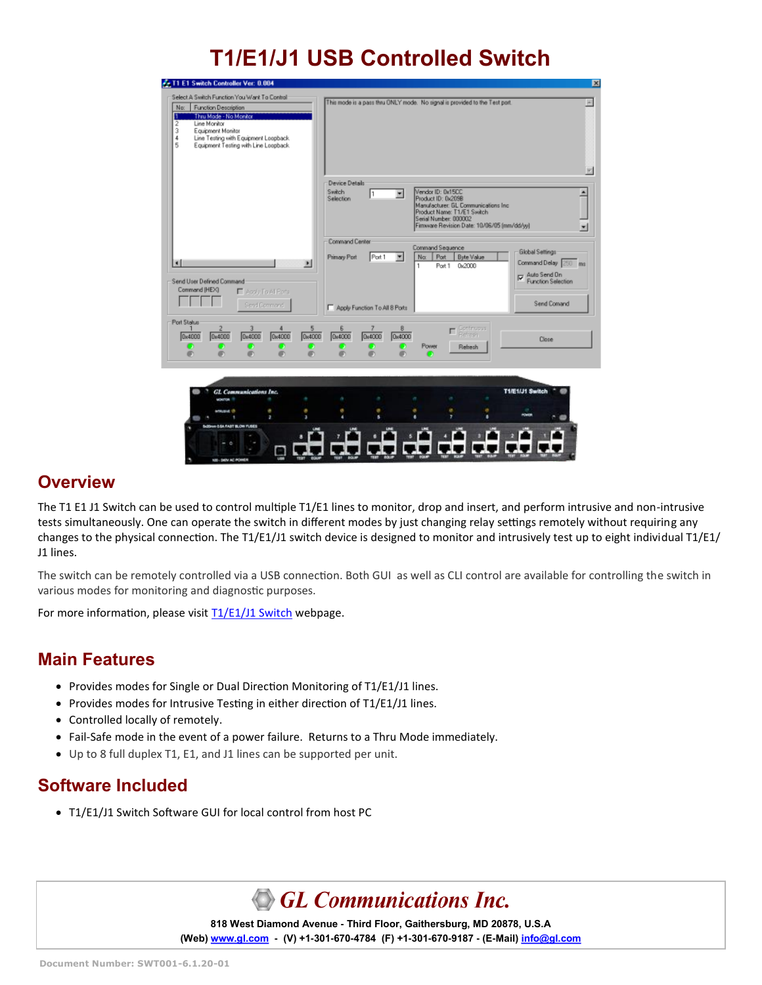# **T1/E1/J1 USB Controlled Switch**

| Select A Switch Function You Want To Control<br>This mode is a pass thru ONLY mode. No signal is provided to the Test port.<br>No:<br>Function Description<br>Thru Mode - No Monitor<br>2<br>Line Monitor<br>3<br>Equipment Monitor<br>Line Testing with Equipment Loopback.<br>4<br>5<br>Equipment Testing with Line Loopback.<br>Device Details<br>Vendor ID: 0x15CC<br><b>Switch</b><br>≖<br>۰<br>I٦<br>Selection<br>Product ID: 0x209B<br>Manufacturer: GL Communications Inc.<br>Product Name: T1/E1 Switch<br>Serial Number: 000002<br>Firmware Revision Date: 10/06/05 (mm/dd/yy)<br>$\blacksquare$<br>Command Center<br>Command Sequence<br>Global Settings<br>Port 1<br>$\overline{\phantom{a}}$<br>Port<br><b>Byte Value</b><br><b>Primary Port</b><br>No:<br>Command Delay 250 ms<br>×<br>$\blacksquare$<br>1<br>Port 1<br>0x2000<br>Auto Send Dn<br>Function Selection<br>Send User Defined Command<br>Command (HEX)<br>E Acciu To Al Porte<br>Send Comand<br>Send Commond<br>Apply Function To All 8 Ports<br>Port Status<br>5<br>Continuous<br>Behesia<br>8<br>6<br>г<br>0x4000<br>0x4000<br>0x4000<br><b>Dx4000</b><br><b>0x4000</b><br>0x4000<br>0x4000<br><b>Q</b> <sub>104</sub> 000<br>Close<br>Power<br>Rehesh<br>o<br>Œ<br>O<br>л<br>л<br>æ<br>ø<br>o | Fr T1 E1 Switch Controller Ver: 0.004 |        |
|----------------------------------------------------------------------------------------------------------------------------------------------------------------------------------------------------------------------------------------------------------------------------------------------------------------------------------------------------------------------------------------------------------------------------------------------------------------------------------------------------------------------------------------------------------------------------------------------------------------------------------------------------------------------------------------------------------------------------------------------------------------------------------------------------------------------------------------------------------------------------------------------------------------------------------------------------------------------------------------------------------------------------------------------------------------------------------------------------------------------------------------------------------------------------------------------------------------------------------------------------------------------------|---------------------------------------|--------|
|                                                                                                                                                                                                                                                                                                                                                                                                                                                                                                                                                                                                                                                                                                                                                                                                                                                                                                                                                                                                                                                                                                                                                                                                                                                                            |                                       |        |
|                                                                                                                                                                                                                                                                                                                                                                                                                                                                                                                                                                                                                                                                                                                                                                                                                                                                                                                                                                                                                                                                                                                                                                                                                                                                            |                                       |        |
|                                                                                                                                                                                                                                                                                                                                                                                                                                                                                                                                                                                                                                                                                                                                                                                                                                                                                                                                                                                                                                                                                                                                                                                                                                                                            |                                       |        |
|                                                                                                                                                                                                                                                                                                                                                                                                                                                                                                                                                                                                                                                                                                                                                                                                                                                                                                                                                                                                                                                                                                                                                                                                                                                                            |                                       |        |
| ,                                                                                                                                                                                                                                                                                                                                                                                                                                                                                                                                                                                                                                                                                                                                                                                                                                                                                                                                                                                                                                                                                                                                                                                                                                                                          | z<br>Sconver C.SA. FAST BLOW FUSES    | в<br>٠ |

### **Overview**

The T1 E1 J1 Switch can be used to control multiple T1/E1 lines to monitor, drop and insert, and perform intrusive and non-intrusive tests simultaneously. One can operate the switch in different modes by just changing relay settings remotely without requiring any changes to the physical connection. The T1/E1/J1 switch device is designed to monitor and intrusively test up to eight individual T1/E1/ J1 lines.

The switch can be remotely controlled via a USB connection. Both GUI as well as CLI control are available for controlling the switch in various modes for monitoring and diagnostic purposes.

For more information, please visit [T1/E1/J1 Switch](https://www.gl.com/t1e1j1switch.html) webpage.

### **Main Features**

- Provides modes for Single or Dual Direction Monitoring of T1/E1/J1 lines.
- Provides modes for Intrusive Testing in either direction of T1/E1/J1 lines.
- Controlled locally of remotely.
- Fail-Safe mode in the event of a power failure. Returns to a Thru Mode immediately.
- Up to 8 full duplex T1, E1, and J1 lines can be supported per unit.

### **Software Included**

• T1/E1/J1 Switch Software GUI for local control from host PC

**GL Communications Inc.** 

**818 West Diamond Avenue - Third Floor, Gaithersburg, MD 20878, U.S.A (Web) [www.gl.com](https://www.gl.com) - (V) +1-301-670-4784 (F) +1-301-670-9187 - (E-Mail) [info@gl.com](https://www.gl.com/inforequestform.php)**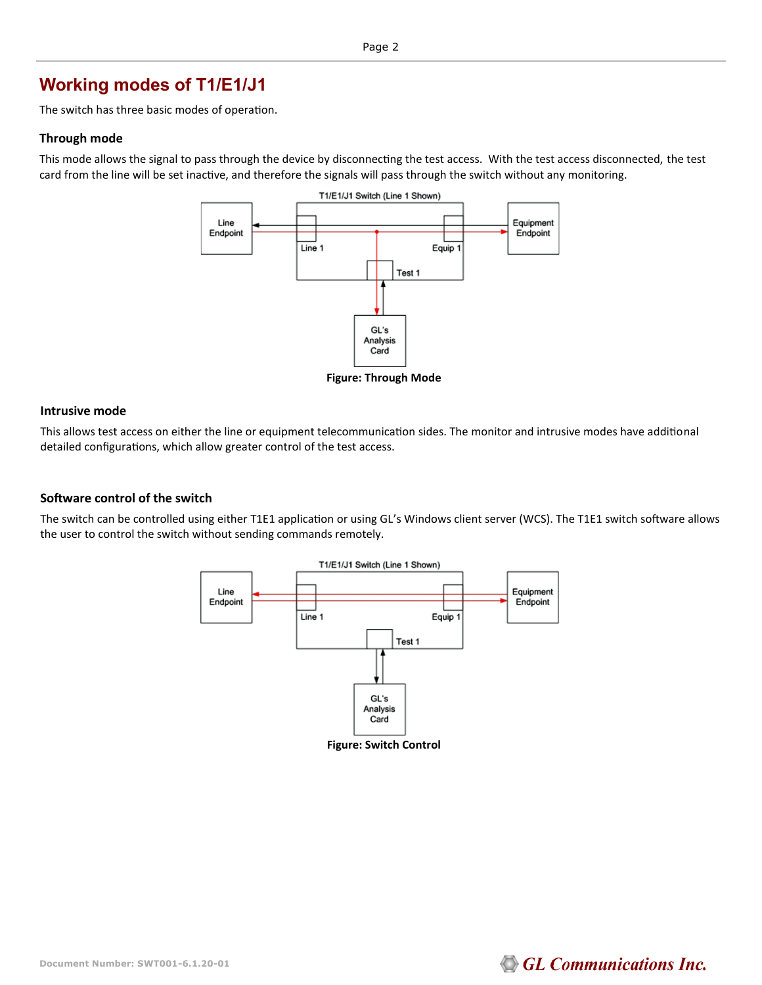## **Working modes of T1/E1/J1**

The switch has three basic modes of operation.

#### **Through mode**

This mode allows the signal to pass through the device by disconnecting the test access. With the test access disconnected, the test card from the line will be set inactive, and therefore the signals will pass through the switch without any monitoring.



**Figure: Through Mode**

#### **Intrusive mode**

This allows test access on either the line or equipment telecommunication sides. The monitor and intrusive modes have additional detailed configurations, which allow greater control of the test access.

### **Software control of the switch**

The switch can be controlled using either T1E1 application or using GL's Windows client server (WCS). The T1E1 switch software allows the user to control the switch without sending commands remotely.



**Figure: Switch Control**

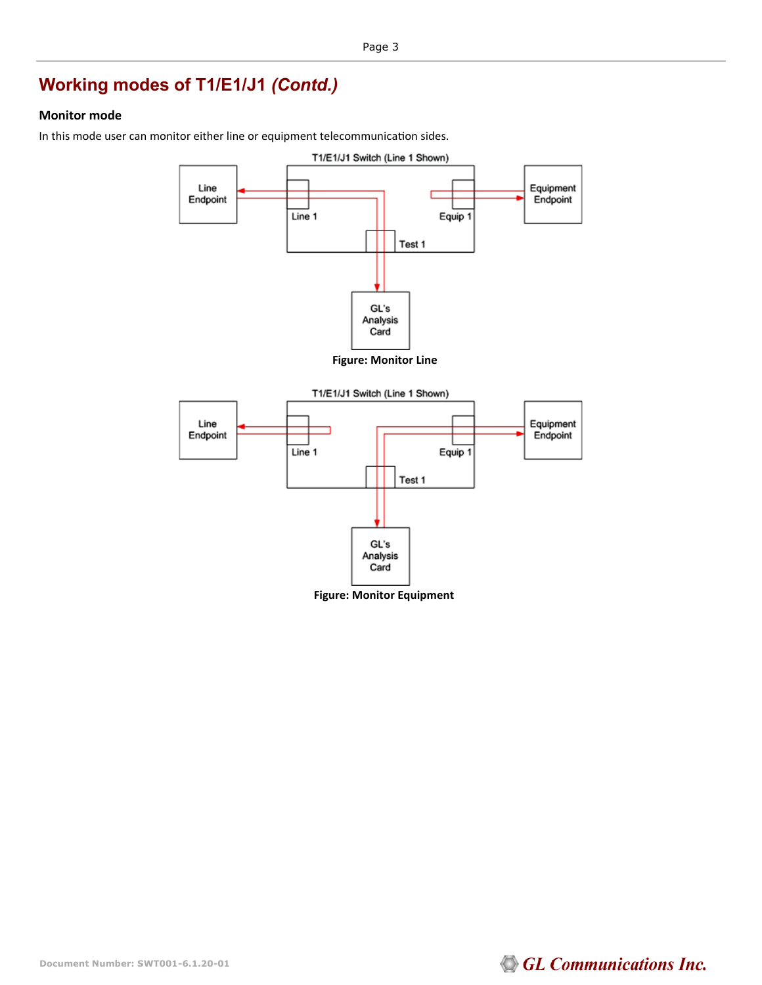## **Working modes of T1/E1/J1** *(Contd.)*

### **Monitor mode**

In this mode user can monitor either line or equipment telecommunication sides.



**Figure: Monitor Equipment**



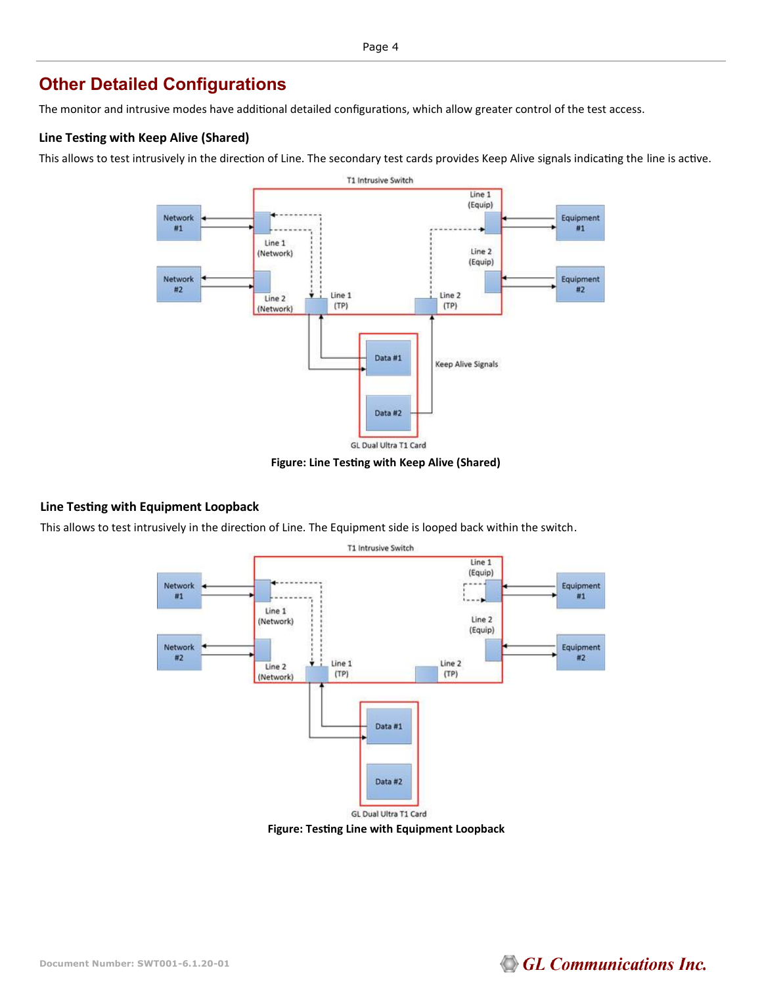### **Other Detailed Configurations**

The monitor and intrusive modes have additional detailed configurations, which allow greater control of the test access.

### **Line Testing with Keep Alive (Shared)**

This allows to test intrusively in the direction of Line. The secondary test cards provides Keep Alive signals indicating the line is active.



**Figure: Line Testing with Keep Alive (Shared)**

### **Line Testing with Equipment Loopback**

This allows to test intrusively in the direction of Line. The Equipment side is looped back within the switch.



**Figure: Testing Line with Equipment Loopback**

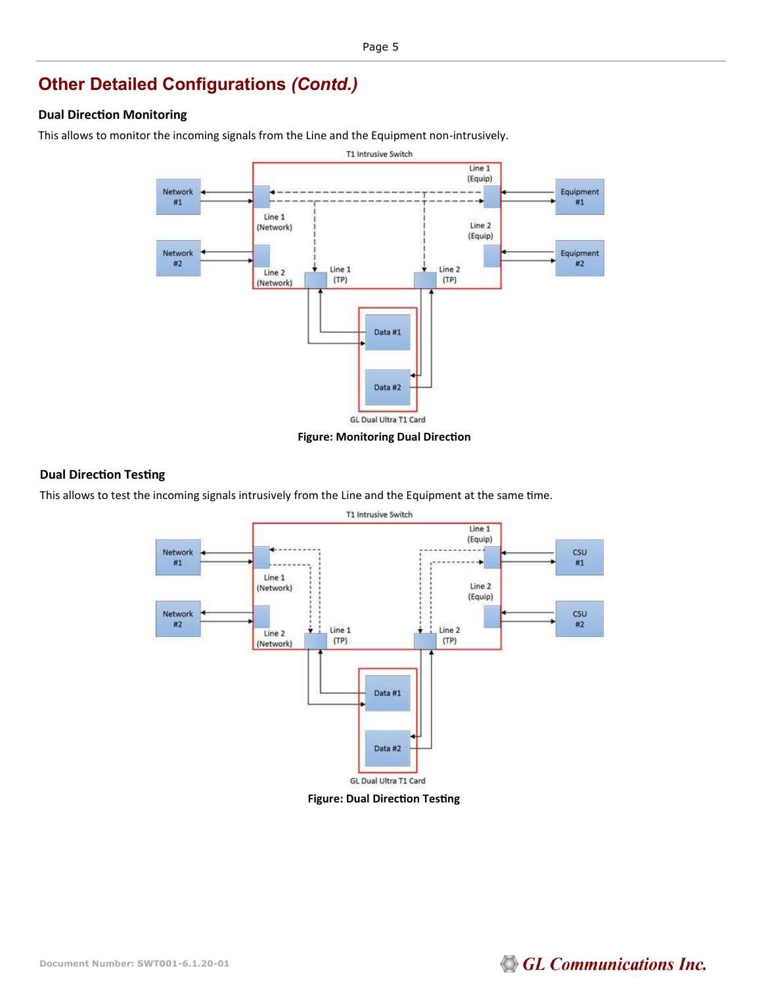## **Other Detailed Configurations** *(Contd.)*

### **Dual Direction Monitoring**

This allows to monitor the incoming signals from the Line and the Equipment non-intrusively.



#### **Figure: Monitoring Dual Direction**

### **Dual Direction Testing**

This allows to test the incoming signals intrusively from the Line and the Equipment at the same time.



**Figure: Dual Direction Testing**

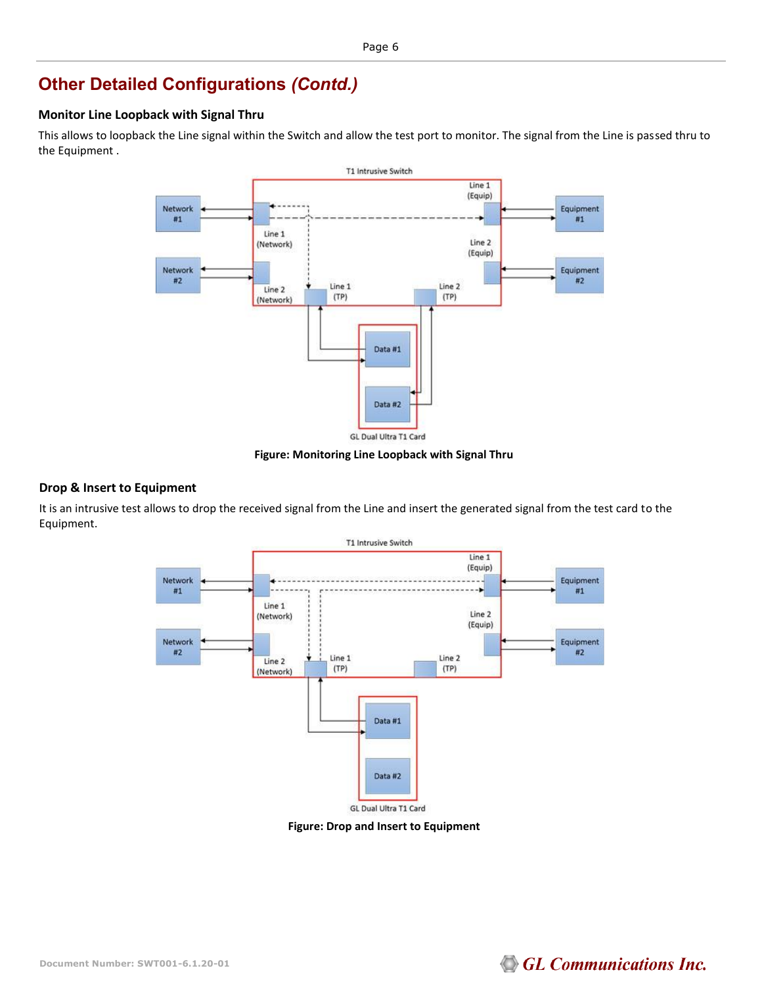## **Other Detailed Configurations** *(Contd.)*

### **Monitor Line Loopback with Signal Thru**

This allows to loopback the Line signal within the Switch and allow the test port to monitor. The signal from the Line is passed thru to the Equipment .



**Figure: Monitoring Line Loopback with Signal Thru**

### **Drop & Insert to Equipment**

It is an intrusive test allows to drop the received signal from the Line and insert the generated signal from the test card to the Equipment.



**Figure: Drop and Insert to Equipment**

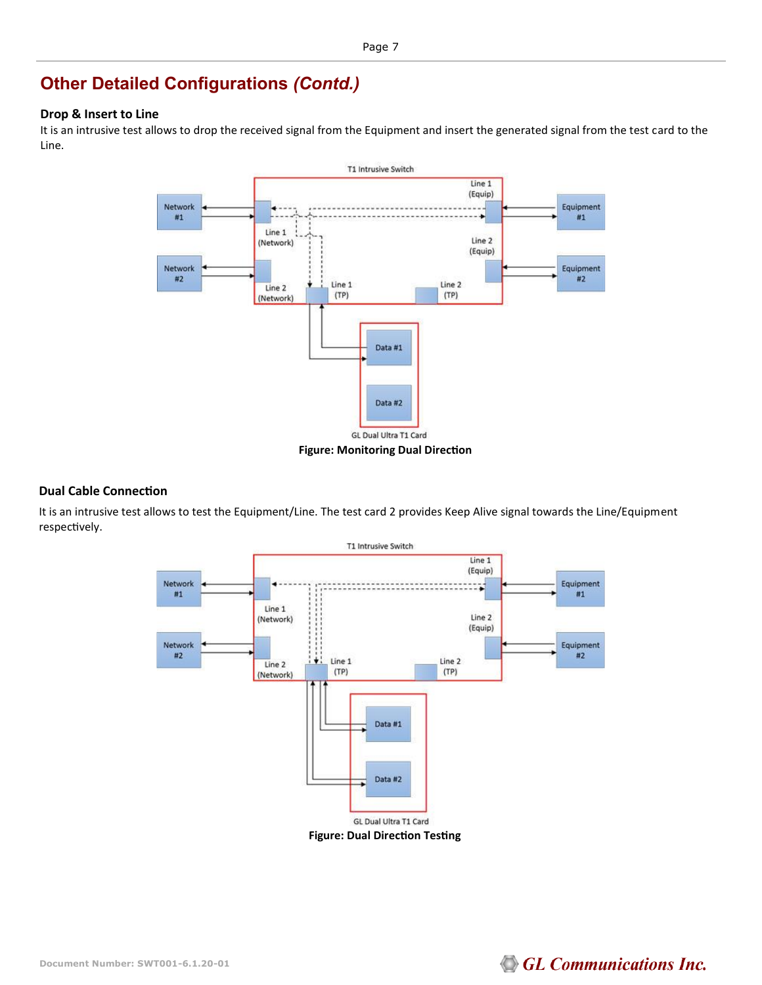## **Other Detailed Configurations** *(Contd.)*

### **Drop & Insert to Line**

It is an intrusive test allows to drop the received signal from the Equipment and insert the generated signal from the test card to the Line.



#### **Dual Cable Connection**

It is an intrusive test allows to test the Equipment/Line. The test card 2 provides Keep Alive signal towards the Line/Equipment respectively.